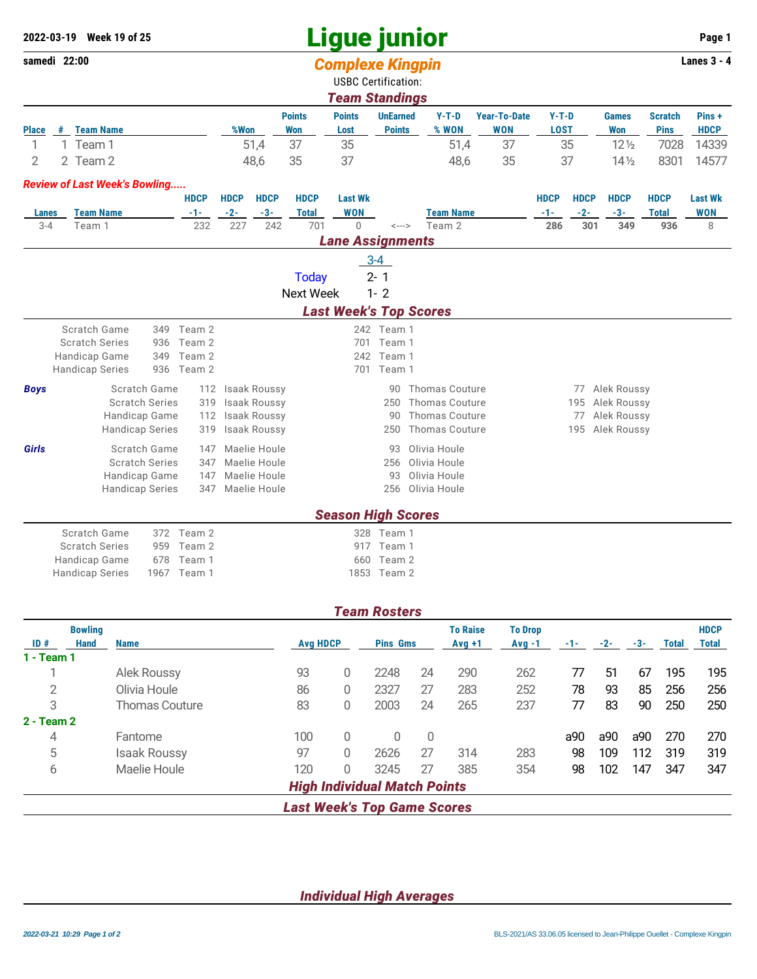## **Ligue junior 2022-03-19 Week 19 of 25 Page 1**

## **samedi 22:00** *Complexe Kingpin* **Lanes 3 - 4**

2 2 Team 2 48,6 35 37 48,6 35 37 14½ 8301 14577

|              |                       |                  |      |               |               | <u>symptons ningpin</u>    |         |              |         |                 |                |             |  |
|--------------|-----------------------|------------------|------|---------------|---------------|----------------------------|---------|--------------|---------|-----------------|----------------|-------------|--|
|              |                       |                  |      |               |               | <b>USBC Certification:</b> |         |              |         |                 |                |             |  |
|              | <b>Team Standings</b> |                  |      |               |               |                            |         |              |         |                 |                |             |  |
|              |                       |                  |      | <b>Points</b> | <b>Points</b> | <b>UnEarned</b>            | $Y-T-D$ | Year-To-Date | $Y-T-D$ | <b>Games</b>    | <b>Scratch</b> | Pins+       |  |
| <b>Place</b> |                       | <b>Team Name</b> | %Won | Won           | Lost          | <b>Points</b>              | % WON   | <b>WON</b>   | LOST    | Won             | <b>Pins</b>    | <b>HDCP</b> |  |
|              |                       | Team 1           | 51.4 | 37            | 35            |                            | 51.4    |              | 35      | $12\frac{1}{2}$ | 7028           | 14339       |  |

*Review of Last Week's Bowling.....*

| <b>Lanes</b> | <b>Team Name</b>       |              | <b>HDCP</b><br>$-1-$                                                  | <b>HDCP</b><br>$-2-$ | <b>HDCP</b><br>$-3-$ | <b>HDCP</b><br><b>Total</b> | <b>Last Wk</b><br><b>WON</b> |            | <b>Team Name</b>              | <b>HDCP</b><br>$-1-$ | <b>HDCP</b><br>$-2-$ | <b>HDCP</b><br>$-3-$ | <b>HDCP</b><br><b>Total</b> | <b>Last Wk</b><br><b>WON</b> |
|--------------|------------------------|--------------|-----------------------------------------------------------------------|----------------------|----------------------|-----------------------------|------------------------------|------------|-------------------------------|----------------------|----------------------|----------------------|-----------------------------|------------------------------|
| $3 - 4$      | Team 1                 |              | 227<br>242<br>232<br>701<br>0<br>Team 2<br>$\leftarrow$ $\rightarrow$ |                      |                      | 286                         | 301                          | 349        | 936                           | 8                    |                      |                      |                             |                              |
|              |                        |              |                                                                       |                      |                      |                             | <b>Lane Assignments</b>      |            |                               |                      |                      |                      |                             |                              |
|              |                        |              |                                                                       |                      |                      |                             |                              | $3 - 4$    |                               |                      |                      |                      |                             |                              |
|              |                        |              |                                                                       |                      |                      | <b>Today</b>                |                              | $2 - 1$    |                               |                      |                      |                      |                             |                              |
|              |                        |              |                                                                       |                      |                      | Next Week                   |                              | $1 - 2$    |                               |                      |                      |                      |                             |                              |
|              |                        |              |                                                                       |                      |                      |                             |                              |            | <b>Last Week's Top Scores</b> |                      |                      |                      |                             |                              |
|              | Scratch Game           | 349          | Team 2                                                                |                      |                      |                             |                              | 242 Team 1 |                               |                      |                      |                      |                             |                              |
|              | <b>Scratch Series</b>  | 936          | Team 2                                                                |                      |                      |                             | 701                          | Team 1     |                               |                      |                      |                      |                             |                              |
|              | <b>Handicap Game</b>   | 349          | Team 2                                                                |                      |                      |                             | 242                          | Team 1     |                               |                      |                      |                      |                             |                              |
|              | <b>Handicap Series</b> | 936          | Team 2                                                                |                      |                      |                             | 701                          | Team 1     |                               |                      |                      |                      |                             |                              |
| <b>Boys</b>  |                        | Scratch Game | 112                                                                   | Isaak Roussy         |                      |                             |                              | 90         | <b>Thomas Couture</b>         |                      | 77                   | Alek Roussy          |                             |                              |
|              | <b>Scratch Series</b>  |              | 319                                                                   | <b>Isaak Roussy</b>  |                      |                             |                              | 250        | <b>Thomas Couture</b>         |                      | 195                  | Alek Roussy          |                             |                              |
|              | Handicap Game          |              | 112                                                                   | <b>Isaak Roussy</b>  |                      |                             |                              | 90         | <b>Thomas Couture</b>         |                      | 77                   | Alek Roussy          |                             |                              |
|              | <b>Handicap Series</b> |              | 319                                                                   | <b>Isaak Roussy</b>  |                      |                             |                              | 250        | <b>Thomas Couture</b>         |                      | 195                  | Alek Roussy          |                             |                              |
| Girls        |                        | Scratch Game | 147                                                                   | Maelie Houle         |                      |                             |                              | 93         | Olivia Houle                  |                      |                      |                      |                             |                              |
|              | <b>Scratch Series</b>  |              | 347                                                                   | Maelie Houle         |                      |                             |                              | 256        | Olivia Houle                  |                      |                      |                      |                             |                              |
|              | Handicap Game          |              | 147                                                                   | Maelie Houle         |                      |                             |                              | 93         | Olivia Houle                  |                      |                      |                      |                             |                              |
|              | <b>Handicap Series</b> |              | 347                                                                   | Maelie Houle         |                      |                             |                              | 256        | Olivia Houle                  |                      |                      |                      |                             |                              |
|              |                        |              |                                                                       |                      |                      |                             | <b>Season High Scores</b>    |            |                               |                      |                      |                      |                             |                              |
|              | Scratch Game           | 372          | Team 2                                                                |                      |                      |                             | 328                          | Team 1     |                               |                      |                      |                      |                             |                              |
|              | <b>Scratch Series</b>  | 959          | Team 2                                                                |                      |                      |                             |                              | 917 Team 1 |                               |                      |                      |                      |                             |                              |

Handicap Game 678 Team 1 660 Team 2<br>
Handicap Series 1967 Team 1 660 Team 2 Handicap Series 1967 Team 1

|                   |                               |                       |                 |              | <b>Team Rosters</b>                 |     |                             |                            |     |       |     |              |                             |
|-------------------|-------------------------------|-----------------------|-----------------|--------------|-------------------------------------|-----|-----------------------------|----------------------------|-----|-------|-----|--------------|-----------------------------|
| ID#               | <b>Bowling</b><br><b>Hand</b> | <b>Name</b>           | <b>Avg HDCP</b> |              | <b>Pins Gms</b>                     |     | <b>To Raise</b><br>$Avg +1$ | <b>To Drop</b><br>$Avg -1$ | -1- | $-2-$ | -3- | <b>Total</b> | <b>HDCP</b><br><b>Total</b> |
| $1 - Team 1$      |                               |                       |                 |              |                                     |     |                             |                            |     |       |     |              |                             |
|                   |                               | Alek Roussy           | 93              | 0            | 2248                                | 24  | 290                         | 262                        | 77  | 51    | 67  | 195          | 195                         |
| 2                 |                               | Olivia Houle          | 86              | 0            | 2327                                | 27  | 283                         | 252                        | 78  | 93    | 85  | 256          | 256                         |
| 3                 |                               | <b>Thomas Couture</b> | 83              | 0            | 2003                                | 24  | 265                         | 237                        | 77  | 83    | 90  | 250          | 250                         |
| $2 - Team 2$      |                               |                       |                 |              |                                     |     |                             |                            |     |       |     |              |                             |
| $\overline{4}$    |                               | Fantome               | 100             | $\mathbf{0}$ | 0                                   | 0   |                             |                            | a90 | a90   | a90 | 270          | 270                         |
| 5                 |                               | <b>Isaak Roussy</b>   | 97              | $\mathbf{0}$ | 2626                                | 27  | 314                         | 283                        | 98  | 109   | 112 | 319          | 319                         |
| 6<br>Maelie Houle |                               | 120                   | $\mathbf{0}$    | 3245         | 27                                  | 385 | 354                         | 98                         | 102 | 147   | 347 | 347          |                             |
|                   |                               |                       |                 |              | <b>High Individual Match Points</b> |     |                             |                            |     |       |     |              |                             |
|                   |                               |                       |                 |              | Loot Weelde Tan Oams Coanse         |     |                             |                            |     |       |     |              |                             |

*Last Week's Top Game Scores*

*Individual High Averages*